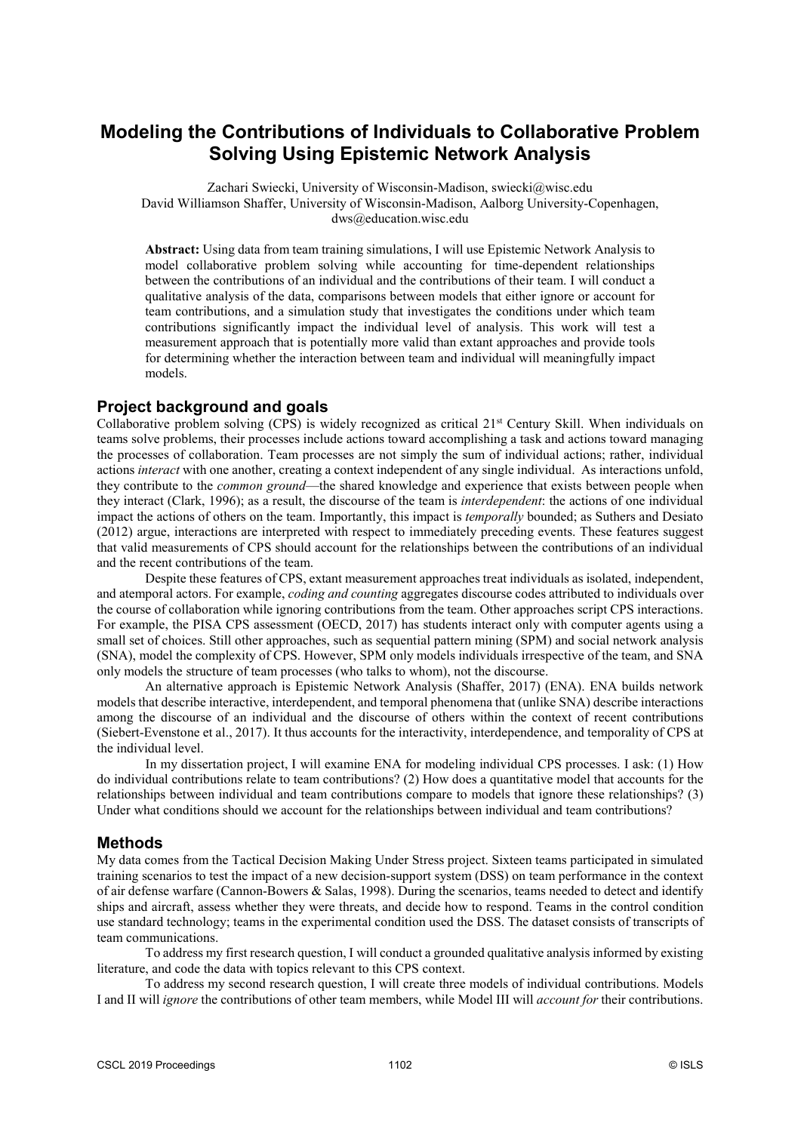# **Modeling the Contributions of Individuals to Collaborative Problem Solving Using Epistemic Network Analysis**

Zachari Swiecki, University of Wisconsin-Madison, swiecki@wisc.edu David Williamson Shaffer, University of Wisconsin-Madison, Aalborg University-Copenhagen, dws@education.wisc.edu

**Abstract:** Using data from team training simulations, I will use Epistemic Network Analysis to model collaborative problem solving while accounting for time-dependent relationships between the contributions of an individual and the contributions of their team. I will conduct a qualitative analysis of the data, comparisons between models that either ignore or account for team contributions, and a simulation study that investigates the conditions under which team contributions significantly impact the individual level of analysis. This work will test a measurement approach that is potentially more valid than extant approaches and provide tools for determining whether the interaction between team and individual will meaningfully impact models.

## **Project background and goals**

Collaborative problem solving (CPS) is widely recognized as critical 21<sup>st</sup> Century Skill. When individuals on teams solve problems, their processes include actions toward accomplishing a task and actions toward managing the processes of collaboration. Team processes are not simply the sum of individual actions; rather, individual actions *interact* with one another, creating a context independent of any single individual. As interactions unfold, they contribute to the *common ground*—the shared knowledge and experience that exists between people when they interact (Clark, 1996); as a result, the discourse of the team is *interdependent*: the actions of one individual impact the actions of others on the team. Importantly, this impact is *temporally* bounded; as Suthers and Desiato (2012) argue, interactions are interpreted with respect to immediately preceding events. These features suggest that valid measurements of CPS should account for the relationships between the contributions of an individual and the recent contributions of the team.

Despite these features of CPS, extant measurement approaches treat individuals as isolated, independent, and atemporal actors. For example, *coding and counting* aggregates discourse codes attributed to individuals over the course of collaboration while ignoring contributions from the team. Other approaches script CPS interactions. For example, the PISA CPS assessment (OECD, 2017) has students interact only with computer agents using a small set of choices. Still other approaches, such as sequential pattern mining (SPM) and social network analysis (SNA), model the complexity of CPS. However, SPM only models individuals irrespective of the team, and SNA only models the structure of team processes (who talks to whom), not the discourse.

An alternative approach is Epistemic Network Analysis (Shaffer, 2017) (ENA). ENA builds network models that describe interactive, interdependent, and temporal phenomena that (unlike SNA) describe interactions among the discourse of an individual and the discourse of others within the context of recent contributions (Siebert-Evenstone et al., 2017). It thus accounts for the interactivity, interdependence, and temporality of CPS at the individual level.

In my dissertation project, I will examine ENA for modeling individual CPS processes. I ask: (1) How do individual contributions relate to team contributions? (2) How does a quantitative model that accounts for the relationships between individual and team contributions compare to models that ignore these relationships? (3) Under what conditions should we account for the relationships between individual and team contributions?

### **Methods**

My data comes from the Tactical Decision Making Under Stress project. Sixteen teams participated in simulated training scenarios to test the impact of a new decision-support system (DSS) on team performance in the context of air defense warfare (Cannon-Bowers & Salas, 1998). During the scenarios, teams needed to detect and identify ships and aircraft, assess whether they were threats, and decide how to respond. Teams in the control condition use standard technology; teams in the experimental condition used the DSS. The dataset consists of transcripts of team communications.

To address my first research question, I will conduct a grounded qualitative analysis informed by existing literature, and code the data with topics relevant to this CPS context.

To address my second research question, I will create three models of individual contributions. Models I and II will *ignore* the contributions of other team members, while Model III will *account for* their contributions.